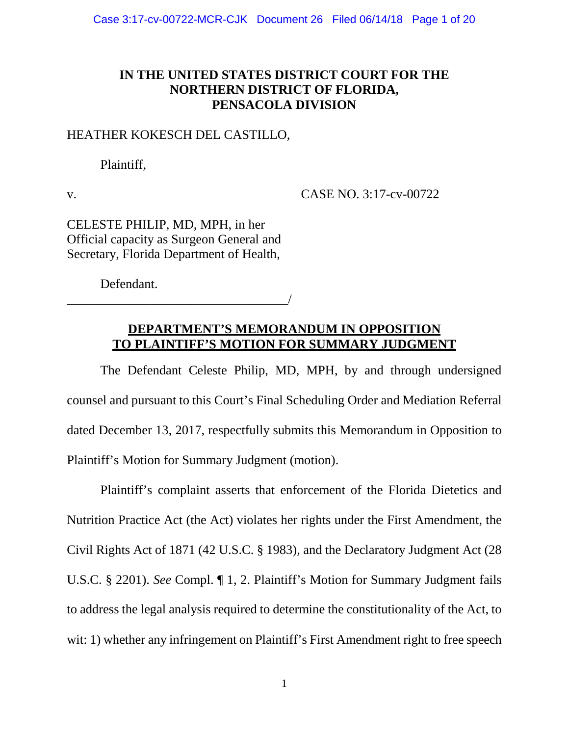## **IN THE UNITED STATES DISTRICT COURT FOR THE NORTHERN DISTRICT OF FLORIDA, PENSACOLA DIVISION**

#### HEATHER KOKESCH DEL CASTILLO,

Plaintiff,

v. CASE NO. 3:17-cv-00722

CELESTE PHILIP, MD, MPH, in her Official capacity as Surgeon General and Secretary, Florida Department of Health,

Defendant.

\_\_\_\_\_\_\_\_\_\_\_\_\_\_\_\_\_\_\_\_\_\_\_\_\_\_\_\_\_\_\_\_\_\_/

## **DEPARTMENT'S MEMORANDUM IN OPPOSITION TO PLAINTIFF'S MOTION FOR SUMMARY JUDGMENT**

The Defendant Celeste Philip, MD, MPH, by and through undersigned counsel and pursuant to this Court's Final Scheduling Order and Mediation Referral dated December 13, 2017, respectfully submits this Memorandum in Opposition to Plaintiff's Motion for Summary Judgment (motion).

Plaintiff's complaint asserts that enforcement of the Florida Dietetics and Nutrition Practice Act (the Act) violates her rights under the First Amendment, the Civil Rights Act of 1871 (42 U.S.C. § 1983), and the Declaratory Judgment Act (28 U.S.C. § 2201). *See* Compl. ¶ 1, 2. Plaintiff's Motion for Summary Judgment fails to address the legal analysis required to determine the constitutionality of the Act, to wit: 1) whether any infringement on Plaintiff's First Amendment right to free speech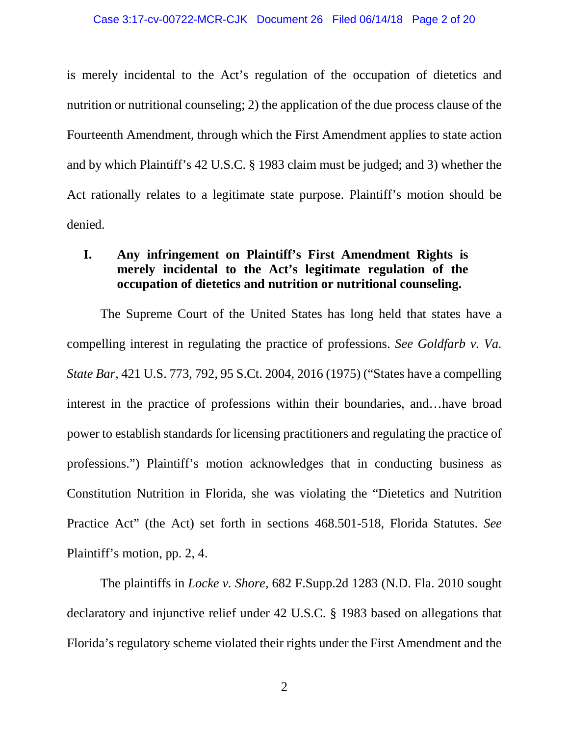is merely incidental to the Act's regulation of the occupation of dietetics and nutrition or nutritional counseling; 2) the application of the due process clause of the Fourteenth Amendment, through which the First Amendment applies to state action and by which Plaintiff's 42 U.S.C. § 1983 claim must be judged; and 3) whether the Act rationally relates to a legitimate state purpose. Plaintiff's motion should be denied.

## **I. Any infringement on Plaintiff's First Amendment Rights is merely incidental to the Act's legitimate regulation of the occupation of dietetics and nutrition or nutritional counseling.**

The Supreme Court of the United States has long held that states have a compelling interest in regulating the practice of professions. *See Goldfarb v. Va. State Bar,* 421 U.S. 773, 792, 95 S.Ct. 2004, 2016 (1975) ("States have a compelling interest in the practice of professions within their boundaries, and…have broad power to establish standards for licensing practitioners and regulating the practice of professions.") Plaintiff's motion acknowledges that in conducting business as Constitution Nutrition in Florida, she was violating the "Dietetics and Nutrition Practice Act" (the Act) set forth in sections 468.501-518, Florida Statutes. *See*  Plaintiff's motion, pp. 2, 4.

The plaintiffs in *Locke v. Shore,* 682 F.Supp.2d 1283 (N.D. Fla. 2010 sought declaratory and injunctive relief under 42 U.S.C. § 1983 based on allegations that Florida's regulatory scheme violated their rights under the First Amendment and the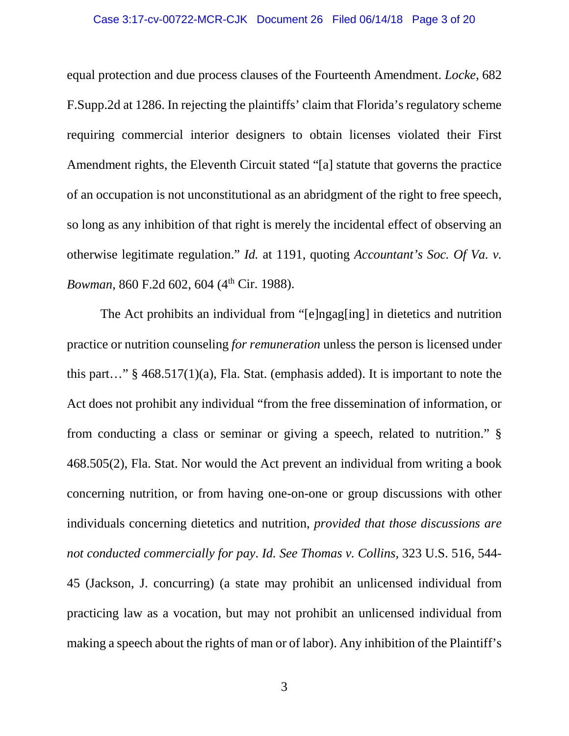#### Case 3:17-cv-00722-MCR-CJK Document 26 Filed 06/14/18 Page 3 of 20

equal protection and due process clauses of the Fourteenth Amendment. *Locke,* 682 F.Supp.2d at 1286. In rejecting the plaintiffs' claim that Florida's regulatory scheme requiring commercial interior designers to obtain licenses violated their First Amendment rights, the Eleventh Circuit stated "[a] statute that governs the practice of an occupation is not unconstitutional as an abridgment of the right to free speech, so long as any inhibition of that right is merely the incidental effect of observing an otherwise legitimate regulation." *Id.* at 1191, quoting *Accountant's Soc. Of Va. v. Bowman*, 860 F.2d 602, 604 (4<sup>th</sup> Cir. 1988).

The Act prohibits an individual from "[e]ngag[ing] in dietetics and nutrition practice or nutrition counseling *for remuneration* unless the person is licensed under this part…" § 468.517(1)(a), Fla. Stat. (emphasis added). It is important to note the Act does not prohibit any individual "from the free dissemination of information, or from conducting a class or seminar or giving a speech, related to nutrition." § 468.505(2), Fla. Stat. Nor would the Act prevent an individual from writing a book concerning nutrition, or from having one-on-one or group discussions with other individuals concerning dietetics and nutrition, *provided that those discussions are not conducted commercially for pay*. *Id. See Thomas v. Collins,* 323 U.S. 516, 544- 45 (Jackson, J. concurring) (a state may prohibit an unlicensed individual from practicing law as a vocation, but may not prohibit an unlicensed individual from making a speech about the rights of man or of labor). Any inhibition of the Plaintiff's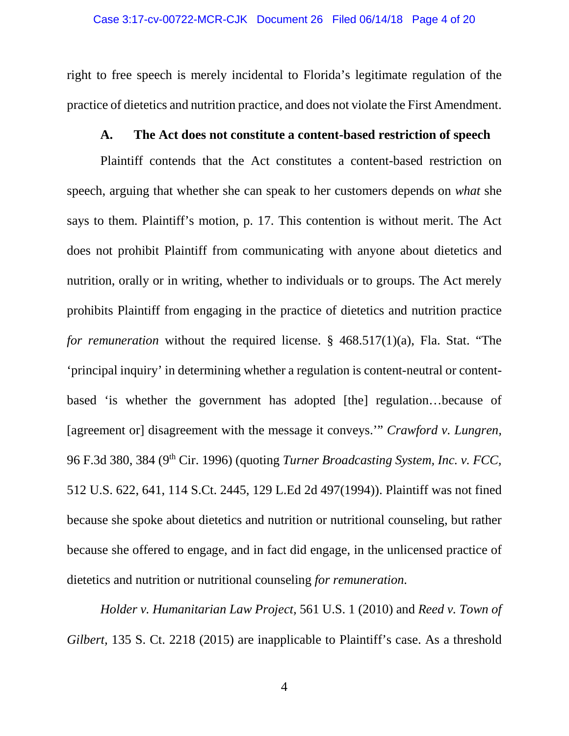right to free speech is merely incidental to Florida's legitimate regulation of the practice of dietetics and nutrition practice, and does not violate the First Amendment.

#### **A. The Act does not constitute a content-based restriction of speech**

Plaintiff contends that the Act constitutes a content-based restriction on speech, arguing that whether she can speak to her customers depends on *what* she says to them. Plaintiff's motion, p. 17. This contention is without merit. The Act does not prohibit Plaintiff from communicating with anyone about dietetics and nutrition, orally or in writing, whether to individuals or to groups. The Act merely prohibits Plaintiff from engaging in the practice of dietetics and nutrition practice *for remuneration* without the required license. § 468.517(1)(a), Fla. Stat. "The 'principal inquiry' in determining whether a regulation is content-neutral or contentbased 'is whether the government has adopted [the] regulation…because of [agreement or] disagreement with the message it conveys.'" *Crawford v. Lungren,*  96 F.3d 380, 384 (9th Cir. 1996) (quoting *Turner Broadcasting System, Inc. v. FCC,*  512 U.S. 622, 641, 114 S.Ct. 2445, 129 L.Ed 2d 497(1994)). Plaintiff was not fined because she spoke about dietetics and nutrition or nutritional counseling, but rather because she offered to engage, and in fact did engage, in the unlicensed practice of dietetics and nutrition or nutritional counseling *for remuneration*.

*Holder v. Humanitarian Law Project,* 561 U.S. 1 (2010) and *Reed v. Town of Gilbert*, 135 S. Ct. 2218 (2015) are inapplicable to Plaintiff's case. As a threshold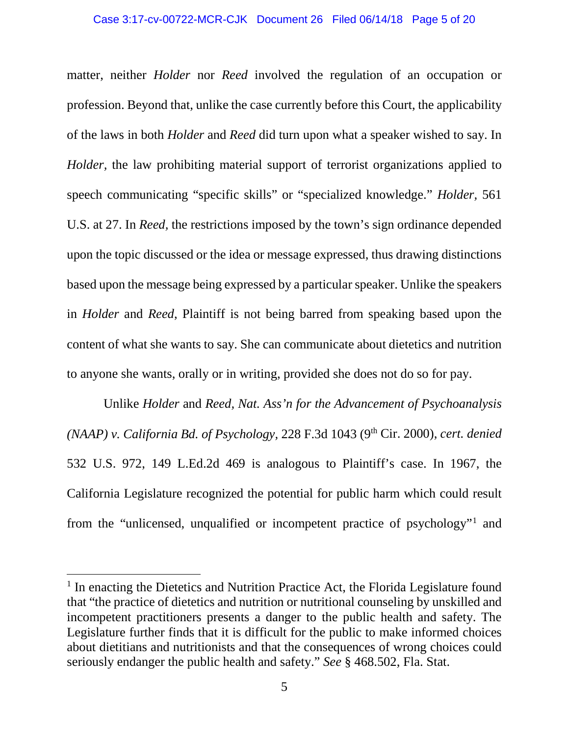matter, neither *Holder* nor *Reed* involved the regulation of an occupation or profession. Beyond that, unlike the case currently before this Court, the applicability of the laws in both *Holder* and *Reed* did turn upon what a speaker wished to say. In *Holder*, the law prohibiting material support of terrorist organizations applied to speech communicating "specific skills" or "specialized knowledge." *Holder,* 561 U.S. at 27. In *Reed,* the restrictions imposed by the town's sign ordinance depended upon the topic discussed or the idea or message expressed, thus drawing distinctions based upon the message being expressed by a particular speaker. Unlike the speakers in *Holder* and *Reed*, Plaintiff is not being barred from speaking based upon the content of what she wants to say. She can communicate about dietetics and nutrition to anyone she wants, orally or in writing, provided she does not do so for pay.

Unlike *Holder* and *Reed, Nat. Ass'n for the Advancement of Psychoanalysis (NAAP) v. California Bd. of Psychology,* 228 F.3d 1043 (9th Cir. 2000), *cert. denied*  532 U.S. 972, 149 L.Ed.2d 469 is analogous to Plaintiff's case. In 1967, the California Legislature recognized the potential for public harm which could result from the "unlicensed, unqualified or incompetent practice of psychology"[1](#page-4-0) and

<span id="page-4-0"></span><sup>&</sup>lt;sup>1</sup> In enacting the Dietetics and Nutrition Practice Act, the Florida Legislature found that "the practice of dietetics and nutrition or nutritional counseling by unskilled and incompetent practitioners presents a danger to the public health and safety. The Legislature further finds that it is difficult for the public to make informed choices about dietitians and nutritionists and that the consequences of wrong choices could seriously endanger the public health and safety." *See* § 468.502, Fla. Stat.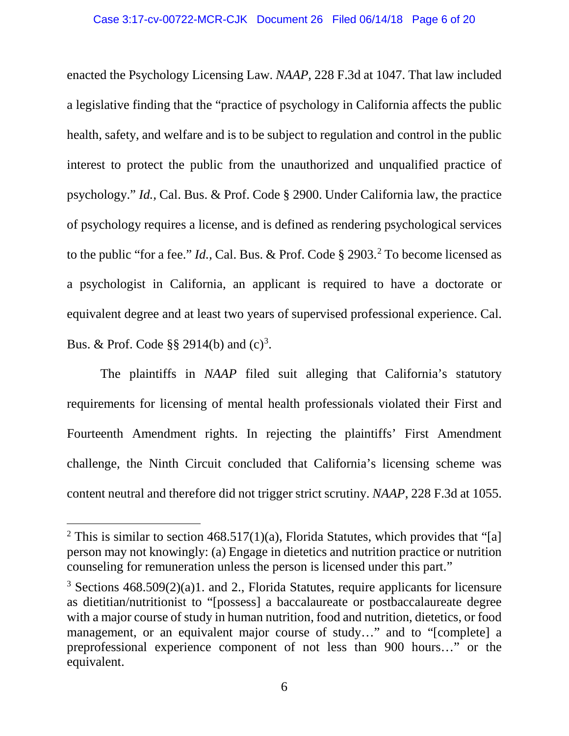enacted the Psychology Licensing Law. *NAAP,* 228 F.3d at 1047. That law included a legislative finding that the "practice of psychology in California affects the public health, safety, and welfare and is to be subject to regulation and control in the public interest to protect the public from the unauthorized and unqualified practice of psychology." *Id.,* Cal. Bus. & Prof. Code § 2900. Under California law, the practice of psychology requires a license, and is defined as rendering psychological services to the public "for a fee." *Id.,* Cal. Bus. & Prof. Code § 2903.[2](#page-5-0) To become licensed as a psychologist in California, an applicant is required to have a doctorate or equivalent degree and at least two years of supervised professional experience. Cal. Bus. & Prof. Code §§ 2914(b) and  $(c)^3$ .

The plaintiffs in *NAAP* filed suit alleging that California's statutory requirements for licensing of mental health professionals violated their First and Fourteenth Amendment rights. In rejecting the plaintiffs' First Amendment challenge, the Ninth Circuit concluded that California's licensing scheme was content neutral and therefore did not trigger strict scrutiny. *NAAP*, 228 F.3d at 1055.

<span id="page-5-0"></span><sup>&</sup>lt;sup>2</sup> This is similar to section  $468.517(1)(a)$ , Florida Statutes, which provides that "[a] person may not knowingly: (a) Engage in dietetics and nutrition practice or nutrition counseling for remuneration unless the person is licensed under this part."

<span id="page-5-1"></span><sup>3</sup> Sections 468.509(2)(a)1. and 2., Florida Statutes, require applicants for licensure as dietitian/nutritionist to "[possess] a baccalaureate or postbaccalaureate degree with a major course of study in human nutrition, food and nutrition, dietetics, or food management, or an equivalent major course of study…" and to "[complete] a preprofessional experience component of not less than 900 hours…" or the equivalent.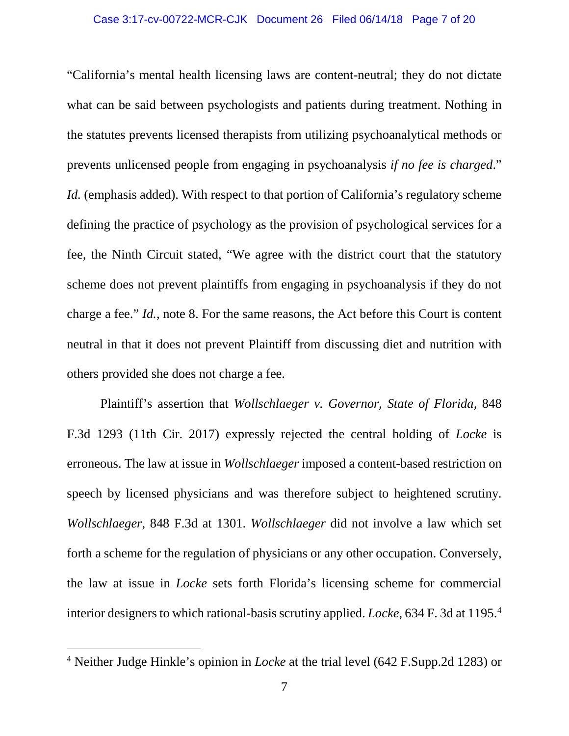"California's mental health licensing laws are content-neutral; they do not dictate what can be said between psychologists and patients during treatment. Nothing in the statutes prevents licensed therapists from utilizing psychoanalytical methods or prevents unlicensed people from engaging in psychoanalysis *if no fee is charged*." *Id.* (emphasis added). With respect to that portion of California's regulatory scheme defining the practice of psychology as the provision of psychological services for a fee, the Ninth Circuit stated, "We agree with the district court that the statutory scheme does not prevent plaintiffs from engaging in psychoanalysis if they do not charge a fee." *Id.,* note 8. For the same reasons, the Act before this Court is content neutral in that it does not prevent Plaintiff from discussing diet and nutrition with others provided she does not charge a fee.

Plaintiff's assertion that *Wollschlaeger v. Governor, State of Florida,* 848 F.3d 1293 (11th Cir. 2017) expressly rejected the central holding of *Locke* is erroneous. The law at issue in *Wollschlaeger* imposed a content-based restriction on speech by licensed physicians and was therefore subject to heightened scrutiny. *Wollschlaeger,* 848 F.3d at 1301. *Wollschlaeger* did not involve a law which set forth a scheme for the regulation of physicians or any other occupation. Conversely, the law at issue in *Locke* sets forth Florida's licensing scheme for commercial interior designers to which rational-basis scrutiny applied. *Locke,* 634 F. 3d at 1195[.4](#page-6-0)

<span id="page-6-0"></span> <sup>4</sup> Neither Judge Hinkle's opinion in *Locke* at the trial level (642 F.Supp.2d 1283) or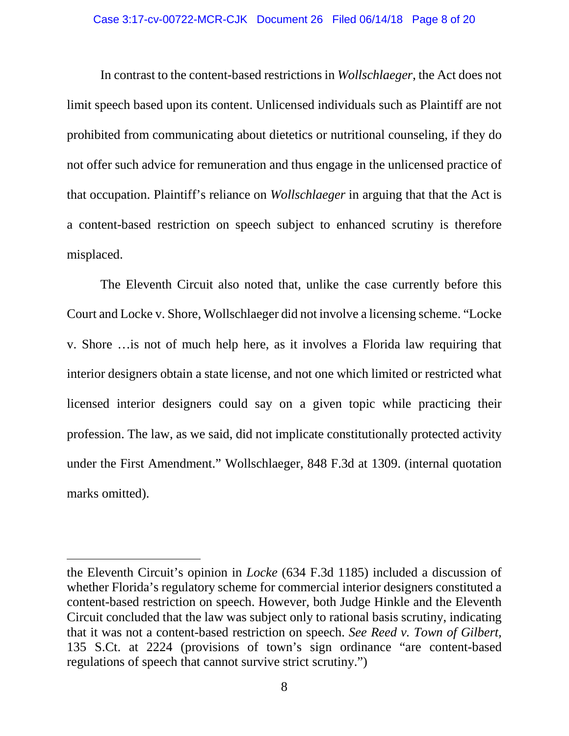In contrast to the content-based restrictions in *Wollschlaeger*, the Act does not limit speech based upon its content. Unlicensed individuals such as Plaintiff are not prohibited from communicating about dietetics or nutritional counseling, if they do not offer such advice for remuneration and thus engage in the unlicensed practice of that occupation. Plaintiff's reliance on *Wollschlaeger* in arguing that that the Act is a content-based restriction on speech subject to enhanced scrutiny is therefore misplaced.

The Eleventh Circuit also noted that, unlike the case currently before this Court and Locke v. Shore, Wollschlaeger did not involve a licensing scheme. "Locke v. Shore …is not of much help here, as it involves a Florida law requiring that interior designers obtain a state license, and not one which limited or restricted what licensed interior designers could say on a given topic while practicing their profession. The law, as we said, did not implicate constitutionally protected activity under the First Amendment." Wollschlaeger, 848 F.3d at 1309. (internal quotation marks omitted).

 $\overline{a}$ 

the Eleventh Circuit's opinion in *Locke* (634 F.3d 1185) included a discussion of whether Florida's regulatory scheme for commercial interior designers constituted a content-based restriction on speech. However, both Judge Hinkle and the Eleventh Circuit concluded that the law was subject only to rational basis scrutiny, indicating that it was not a content-based restriction on speech. *See Reed v. Town of Gilbert,*  135 S.Ct. at 2224 (provisions of town's sign ordinance "are content-based regulations of speech that cannot survive strict scrutiny.")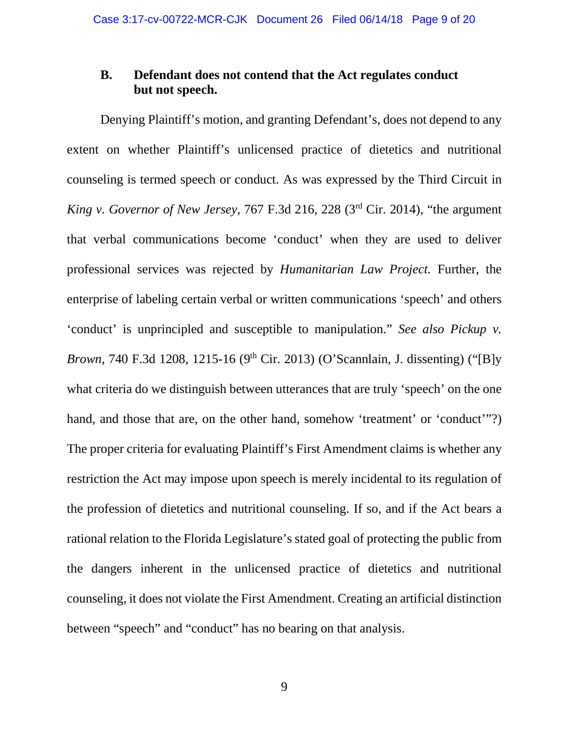### **B. Defendant does not contend that the Act regulates conduct but not speech.**

Denying Plaintiff's motion, and granting Defendant's, does not depend to any extent on whether Plaintiff's unlicensed practice of dietetics and nutritional counseling is termed speech or conduct. As was expressed by the Third Circuit in *King v. Governor of New Jersey,* 767 F.3d 216, 228 (3rd Cir. 2014), "the argument that verbal communications become 'conduct' when they are used to deliver professional services was rejected by *Humanitarian Law Project.* Further, the enterprise of labeling certain verbal or written communications 'speech' and others 'conduct' is unprincipled and susceptible to manipulation." *See also Pickup v. Brown, 740 F.3d 1208, 1215-16 (9<sup>th</sup> Cir. 2013) (O'Scannlain, J. dissenting) ("[B]y* what criteria do we distinguish between utterances that are truly 'speech' on the one hand, and those that are, on the other hand, somehow 'treatment' or 'conduct'"?) The proper criteria for evaluating Plaintiff's First Amendment claims is whether any restriction the Act may impose upon speech is merely incidental to its regulation of the profession of dietetics and nutritional counseling. If so, and if the Act bears a rational relation to the Florida Legislature's stated goal of protecting the public from the dangers inherent in the unlicensed practice of dietetics and nutritional counseling, it does not violate the First Amendment. Creating an artificial distinction between "speech" and "conduct" has no bearing on that analysis.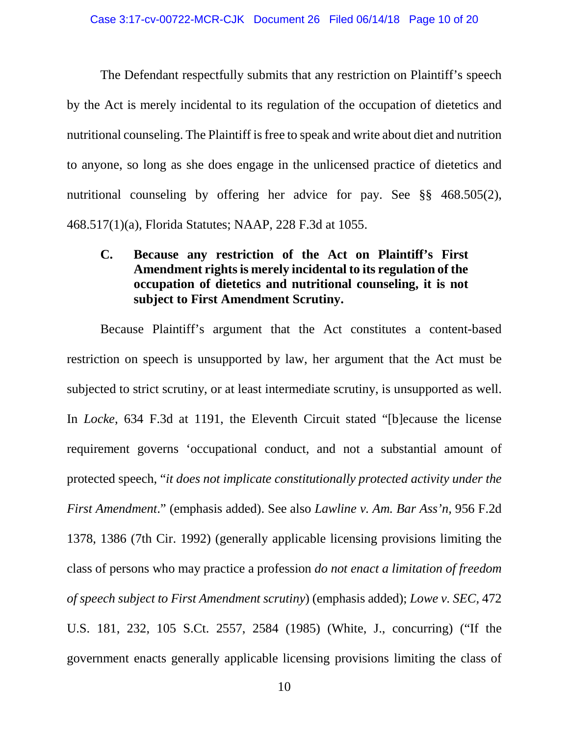The Defendant respectfully submits that any restriction on Plaintiff's speech by the Act is merely incidental to its regulation of the occupation of dietetics and nutritional counseling. The Plaintiff is free to speak and write about diet and nutrition to anyone, so long as she does engage in the unlicensed practice of dietetics and nutritional counseling by offering her advice for pay. See §§ 468.505(2), 468.517(1)(a), Florida Statutes; NAAP, 228 F.3d at 1055.

## **C. Because any restriction of the Act on Plaintiff's First Amendment rights is merely incidental to its regulation of the occupation of dietetics and nutritional counseling, it is not subject to First Amendment Scrutiny.**

Because Plaintiff's argument that the Act constitutes a content-based restriction on speech is unsupported by law, her argument that the Act must be subjected to strict scrutiny, or at least intermediate scrutiny, is unsupported as well. In *Locke*, 634 F.3d at 1191, the Eleventh Circuit stated "[b]ecause the license requirement governs 'occupational conduct, and not a substantial amount of protected speech, "*it does not implicate constitutionally protected activity under the First Amendment*." (emphasis added). See also *Lawline v. Am. Bar Ass'n,* 956 F.2d 1378, 1386 (7th Cir. 1992) (generally applicable licensing provisions limiting the class of persons who may practice a profession *do not enact a limitation of freedom of speech subject to First Amendment scrutiny*) (emphasis added); *Lowe v. SEC,* 472 U.S. 181, 232, 105 S.Ct. 2557, 2584 (1985) (White, J., concurring) ("If the government enacts generally applicable licensing provisions limiting the class of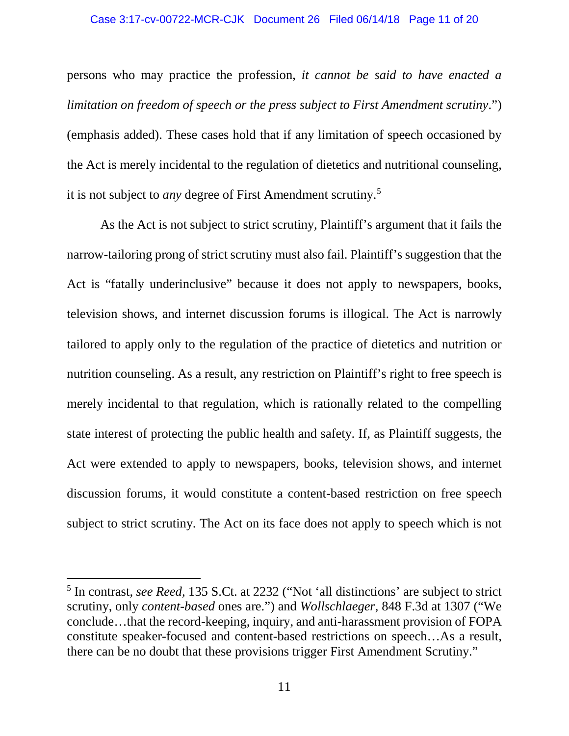persons who may practice the profession, *it cannot be said to have enacted a limitation on freedom of speech or the press subject to First Amendment scrutiny*.") (emphasis added). These cases hold that if any limitation of speech occasioned by the Act is merely incidental to the regulation of dietetics and nutritional counseling, it is not subject to *any* degree of First Amendment scrutiny.[5](#page-10-0)

As the Act is not subject to strict scrutiny, Plaintiff's argument that it fails the narrow-tailoring prong of strict scrutiny must also fail. Plaintiff's suggestion that the Act is "fatally underinclusive" because it does not apply to newspapers, books, television shows, and internet discussion forums is illogical. The Act is narrowly tailored to apply only to the regulation of the practice of dietetics and nutrition or nutrition counseling. As a result, any restriction on Plaintiff's right to free speech is merely incidental to that regulation, which is rationally related to the compelling state interest of protecting the public health and safety. If, as Plaintiff suggests, the Act were extended to apply to newspapers, books, television shows, and internet discussion forums, it would constitute a content-based restriction on free speech subject to strict scrutiny. The Act on its face does not apply to speech which is not

<span id="page-10-0"></span> <sup>5</sup> In contrast, *see Reed,* 135 S.Ct. at 2232 ("Not 'all distinctions' are subject to strict scrutiny, only *content-based* ones are.") and *Wollschlaeger,* 848 F.3d at 1307 ("We conclude…that the record-keeping, inquiry, and anti-harassment provision of FOPA constitute speaker-focused and content-based restrictions on speech…As a result, there can be no doubt that these provisions trigger First Amendment Scrutiny."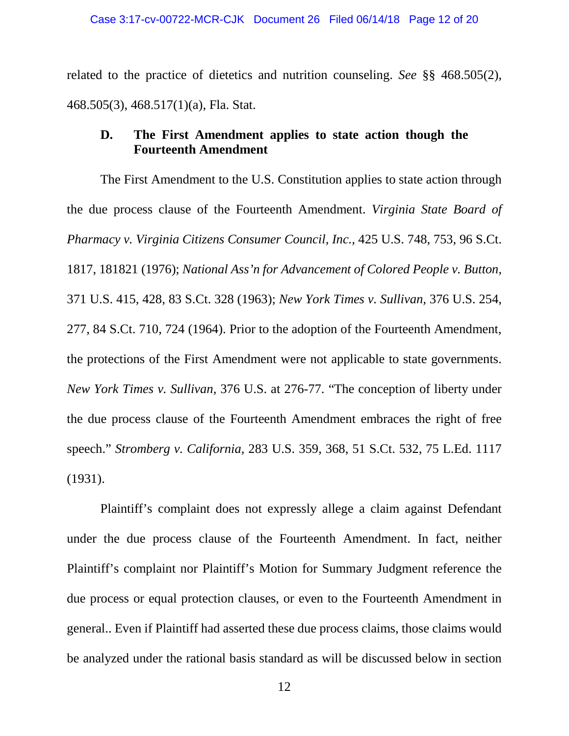related to the practice of dietetics and nutrition counseling. *See* §§ 468.505(2), 468.505(3), 468.517(1)(a), Fla. Stat.

### **D. The First Amendment applies to state action though the Fourteenth Amendment**

The First Amendment to the U.S. Constitution applies to state action through the due process clause of the Fourteenth Amendment. *Virginia State Board of Pharmacy v. Virginia Citizens Consumer Council, Inc.,* 425 U.S. 748, 753, 96 S.Ct. 1817, 181821 (1976); *National Ass'n for Advancement of Colored People v. Button,*  371 U.S. 415, 428, 83 S.Ct. 328 (1963); *New York Times v. Sullivan,* 376 U.S. 254, 277, 84 S.Ct. 710, 724 (1964). Prior to the adoption of the Fourteenth Amendment, the protections of the First Amendment were not applicable to state governments. *New York Times v. Sullivan,* 376 U.S. at 276-77. "The conception of liberty under the due process clause of the Fourteenth Amendment embraces the right of free speech." *Stromberg v. California,* 283 U.S. 359, 368, 51 S.Ct. 532, 75 L.Ed. 1117 (1931).

Plaintiff's complaint does not expressly allege a claim against Defendant under the due process clause of the Fourteenth Amendment. In fact, neither Plaintiff's complaint nor Plaintiff's Motion for Summary Judgment reference the due process or equal protection clauses, or even to the Fourteenth Amendment in general.. Even if Plaintiff had asserted these due process claims, those claims would be analyzed under the rational basis standard as will be discussed below in section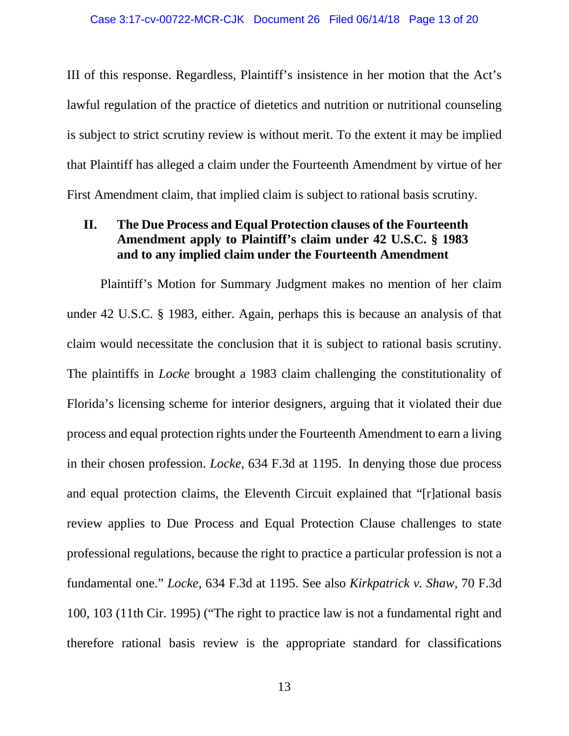III of this response. Regardless, Plaintiff's insistence in her motion that the Act's lawful regulation of the practice of dietetics and nutrition or nutritional counseling is subject to strict scrutiny review is without merit. To the extent it may be implied that Plaintiff has alleged a claim under the Fourteenth Amendment by virtue of her First Amendment claim, that implied claim is subject to rational basis scrutiny.

## **II. The Due Process and Equal Protection clauses of the Fourteenth Amendment apply to Plaintiff's claim under 42 U.S.C. § 1983 and to any implied claim under the Fourteenth Amendment**

Plaintiff's Motion for Summary Judgment makes no mention of her claim under 42 U.S.C. § 1983, either. Again, perhaps this is because an analysis of that claim would necessitate the conclusion that it is subject to rational basis scrutiny. The plaintiffs in *Locke* brought a 1983 claim challenging the constitutionality of Florida's licensing scheme for interior designers, arguing that it violated their due process and equal protection rights under the Fourteenth Amendment to earn a living in their chosen profession. *Locke*, 634 F.3d at 1195. In denying those due process and equal protection claims, the Eleventh Circuit explained that "[r]ational basis review applies to Due Process and Equal Protection Clause challenges to state professional regulations, because the right to practice a particular profession is not a fundamental one." *Locke*, 634 F.3d at 1195. See also *Kirkpatrick v. Shaw*, 70 F.3d 100, 103 (11th Cir. 1995) ("The right to practice law is not a fundamental right and therefore rational basis review is the appropriate standard for classifications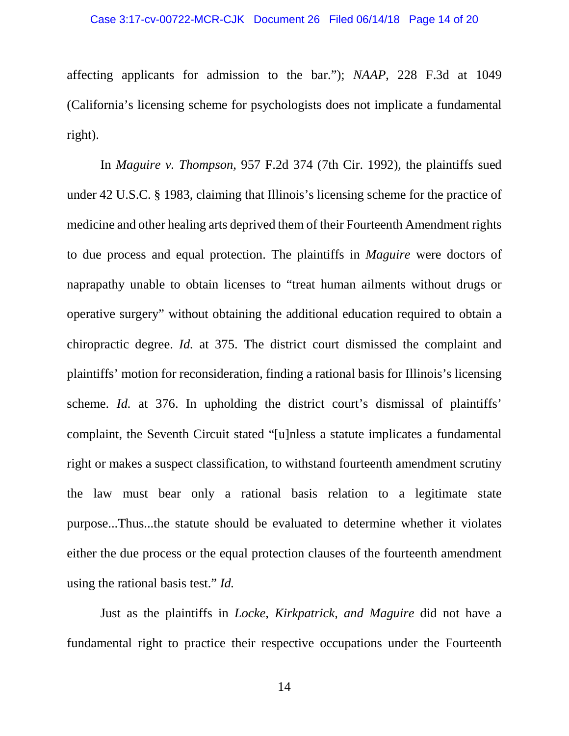affecting applicants for admission to the bar."); *NAAP*, 228 F.3d at 1049 (California's licensing scheme for psychologists does not implicate a fundamental right).

In *Maguire v. Thompson*, 957 F.2d 374 (7th Cir. 1992), the plaintiffs sued under 42 U.S.C. § 1983, claiming that Illinois's licensing scheme for the practice of medicine and other healing arts deprived them of their Fourteenth Amendment rights to due process and equal protection. The plaintiffs in *Maguire* were doctors of naprapathy unable to obtain licenses to "treat human ailments without drugs or operative surgery" without obtaining the additional education required to obtain a chiropractic degree. *Id.* at 375. The district court dismissed the complaint and plaintiffs' motion for reconsideration, finding a rational basis for Illinois's licensing scheme. *Id.* at 376. In upholding the district court's dismissal of plaintiffs' complaint, the Seventh Circuit stated "[u]nless a statute implicates a fundamental right or makes a suspect classification, to withstand fourteenth amendment scrutiny the law must bear only a rational basis relation to a legitimate state purpose...Thus...the statute should be evaluated to determine whether it violates either the due process or the equal protection clauses of the fourteenth amendment using the rational basis test." *Id.* 

Just as the plaintiffs in *Locke, Kirkpatrick, and Maguire* did not have a fundamental right to practice their respective occupations under the Fourteenth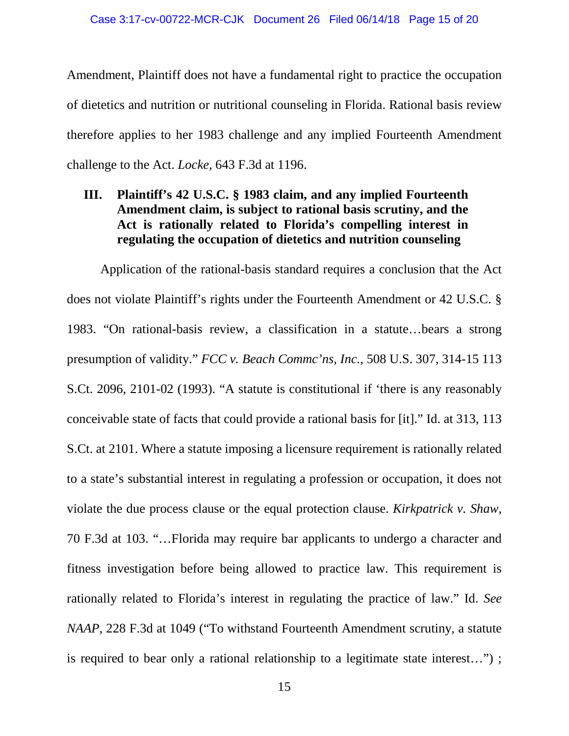Amendment, Plaintiff does not have a fundamental right to practice the occupation of dietetics and nutrition or nutritional counseling in Florida. Rational basis review therefore applies to her 1983 challenge and any implied Fourteenth Amendment challenge to the Act. *Locke,* 643 F.3d at 1196.

# **III. Plaintiff's 42 U.S.C. § 1983 claim, and any implied Fourteenth Amendment claim, is subject to rational basis scrutiny, and the Act is rationally related to Florida's compelling interest in regulating the occupation of dietetics and nutrition counseling**

Application of the rational-basis standard requires a conclusion that the Act does not violate Plaintiff's rights under the Fourteenth Amendment or 42 U.S.C. § 1983. "On rational-basis review, a classification in a statute…bears a strong presumption of validity." *FCC v. Beach Commc'ns, Inc.,* 508 U.S. 307, 314-15 113 S.Ct. 2096, 2101-02 (1993). "A statute is constitutional if 'there is any reasonably conceivable state of facts that could provide a rational basis for [it]." Id. at 313, 113 S.Ct. at 2101. Where a statute imposing a licensure requirement is rationally related to a state's substantial interest in regulating a profession or occupation, it does not violate the due process clause or the equal protection clause. *Kirkpatrick v. Shaw*, 70 F.3d at 103. "…Florida may require bar applicants to undergo a character and fitness investigation before being allowed to practice law. This requirement is rationally related to Florida's interest in regulating the practice of law." Id. *See NAAP*, 228 F.3d at 1049 ("To withstand Fourteenth Amendment scrutiny, a statute is required to bear only a rational relationship to a legitimate state interest…") ;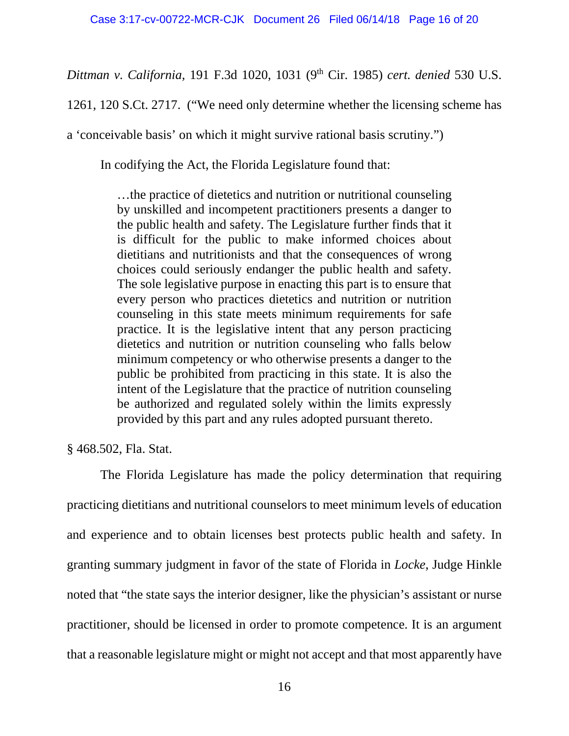*Dittman v. California,* 191 F.3d 1020, 1031 (9th Cir. 1985) *cert. denied* 530 U.S.

1261, 120 S.Ct. 2717. ("We need only determine whether the licensing scheme has

a 'conceivable basis' on which it might survive rational basis scrutiny.")

In codifying the Act, the Florida Legislature found that:

…the practice of dietetics and nutrition or nutritional counseling by unskilled and incompetent practitioners presents a danger to the public health and safety. The Legislature further finds that it is difficult for the public to make informed choices about dietitians and nutritionists and that the consequences of wrong choices could seriously endanger the public health and safety. The sole legislative purpose in enacting this part is to ensure that every person who practices dietetics and nutrition or nutrition counseling in this state meets minimum requirements for safe practice. It is the legislative intent that any person practicing dietetics and nutrition or nutrition counseling who falls below minimum competency or who otherwise presents a danger to the public be prohibited from practicing in this state. It is also the intent of the Legislature that the practice of nutrition counseling be authorized and regulated solely within the limits expressly provided by this part and any rules adopted pursuant thereto.

§ 468.502, Fla. Stat.

The Florida Legislature has made the policy determination that requiring practicing dietitians and nutritional counselors to meet minimum levels of education and experience and to obtain licenses best protects public health and safety. In granting summary judgment in favor of the state of Florida in *Locke*, Judge Hinkle noted that "the state says the interior designer, like the physician's assistant or nurse practitioner, should be licensed in order to promote competence. It is an argument that a reasonable legislature might or might not accept and that most apparently have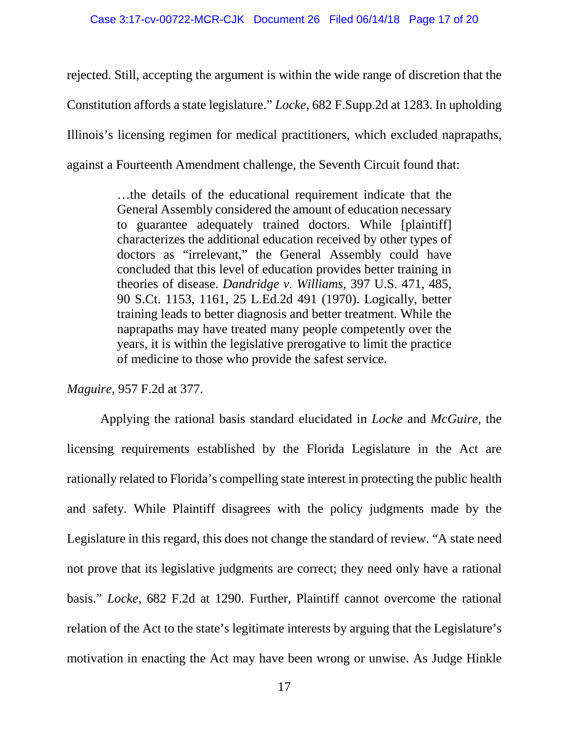rejected. Still, accepting the argument is within the wide range of discretion that the Constitution affords a state legislature." *Locke*, 682 F.Supp.2d at 1283. In upholding Illinois's licensing regimen for medical practitioners, which excluded naprapaths, against a Fourteenth Amendment challenge, the Seventh Circuit found that:

> …the details of the educational requirement indicate that the General Assembly considered the amount of education necessary to guarantee adequately trained doctors. While [plaintiff] characterizes the additional education received by other types of doctors as "irrelevant," the General Assembly could have concluded that this level of education provides better training in theories of disease. *Dandridge v. Williams*, 397 U.S. 471, 485, 90 S.Ct. 1153, 1161, 25 L.Ed.2d 491 (1970). Logically, better training leads to better diagnosis and better treatment. While the naprapaths may have treated many people competently over the years, it is within the legislative prerogative to limit the practice of medicine to those who provide the safest service.

*Maguire,* 957 F.2d at 377.

Applying the rational basis standard elucidated in *Locke* and *McGuire,* the licensing requirements established by the Florida Legislature in the Act are rationally related to Florida's compelling state interest in protecting the public health and safety. While Plaintiff disagrees with the policy judgments made by the Legislature in this regard, this does not change the standard of review. "A state need not prove that its legislative judgments are correct; they need only have a rational basis." *Locke,* 682 F.2d at 1290. Further, Plaintiff cannot overcome the rational relation of the Act to the state's legitimate interests by arguing that the Legislature's motivation in enacting the Act may have been wrong or unwise. As Judge Hinkle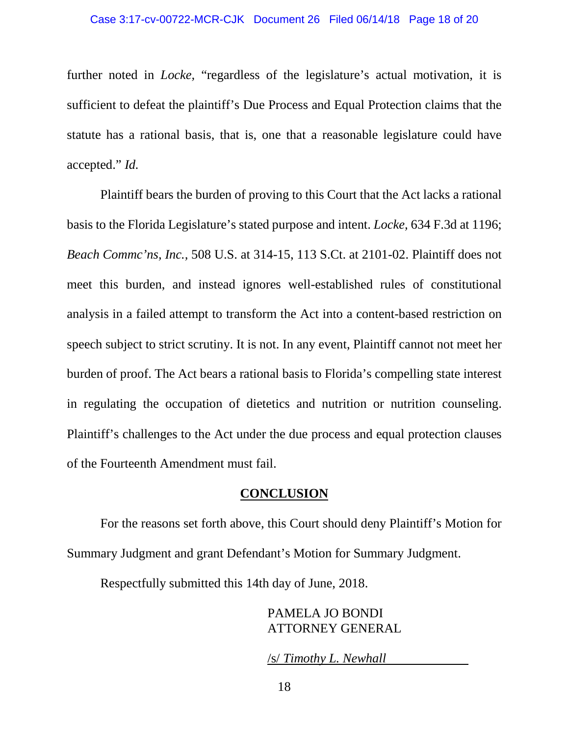further noted in *Locke,* "regardless of the legislature's actual motivation, it is sufficient to defeat the plaintiff's Due Process and Equal Protection claims that the statute has a rational basis, that is, one that a reasonable legislature could have accepted." *Id.*

Plaintiff bears the burden of proving to this Court that the Act lacks a rational basis to the Florida Legislature's stated purpose and intent. *Locke,* 634 F.3d at 1196; *Beach Commc'ns, Inc.,* 508 U.S. at 314-15, 113 S.Ct. at 2101-02. Plaintiff does not meet this burden, and instead ignores well-established rules of constitutional analysis in a failed attempt to transform the Act into a content-based restriction on speech subject to strict scrutiny. It is not. In any event, Plaintiff cannot not meet her burden of proof. The Act bears a rational basis to Florida's compelling state interest in regulating the occupation of dietetics and nutrition or nutrition counseling. Plaintiff's challenges to the Act under the due process and equal protection clauses of the Fourteenth Amendment must fail.

#### **CONCLUSION**

For the reasons set forth above, this Court should deny Plaintiff's Motion for Summary Judgment and grant Defendant's Motion for Summary Judgment.

Respectfully submitted this 14th day of June, 2018.

PAMELA JO BONDI ATTORNEY GENERAL

/s/ *Timothy L. Newhall*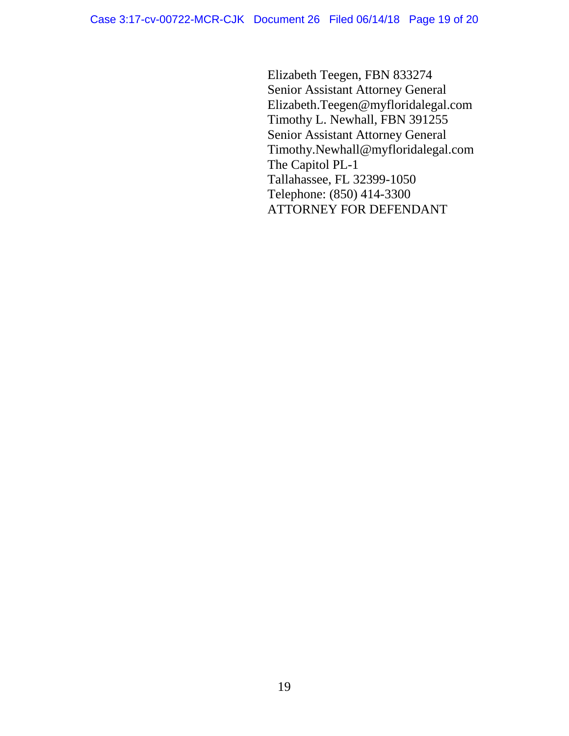Elizabeth Teegen, FBN 833274 Senior Assistant Attorney General Elizabeth.Teegen@myfloridalegal.com Timothy L. Newhall, FBN 391255 Senior Assistant Attorney General Timothy.Newhall@myfloridalegal.com The Capitol PL-1 Tallahassee, FL 32399-1050 Telephone: (850) 414-3300 ATTORNEY FOR DEFENDANT